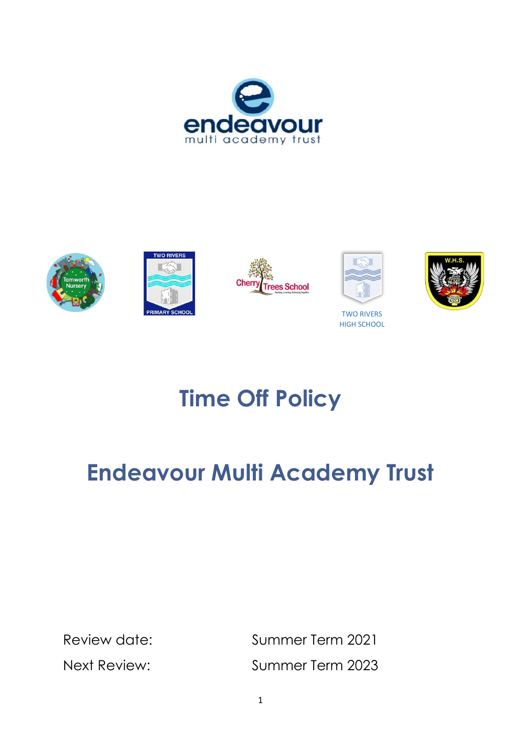









TWO RIVERS HIGH SCHOOL



# **Time Off Policy**

# **Endeavour Multi Academy Trust**

Review date: Summer Term 2021 Next Review: Summer Term 2023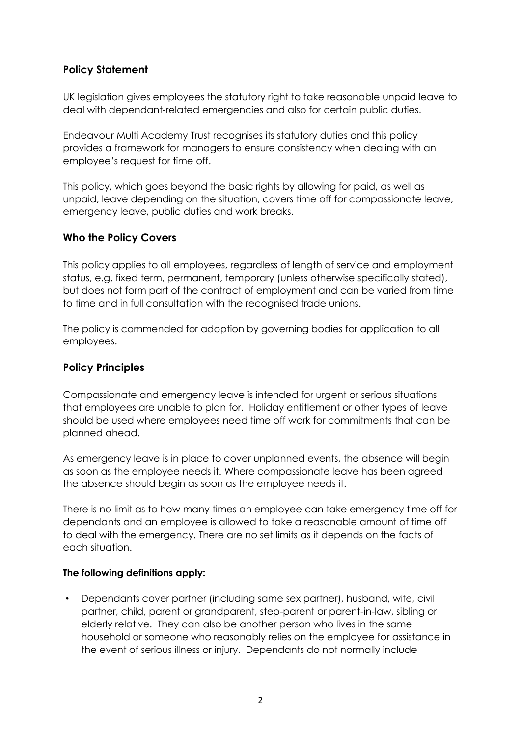# **Policy Statement**

UK legislation gives employees the statutory right to take reasonable unpaid leave to deal with dependant-related emergencies and also for certain public duties.

Endeavour Multi Academy Trust recognises its statutory duties and this policy provides a framework for managers to ensure consistency when dealing with an employee's request for time off.

This policy, which goes beyond the basic rights by allowing for paid, as well as unpaid, leave depending on the situation, covers time off for compassionate leave, emergency leave, public duties and work breaks.

# **Who the Policy Covers**

This policy applies to all employees, regardless of length of service and employment status, e.g. fixed term, permanent, temporary (unless otherwise specifically stated), but does not form part of the contract of employment and can be varied from time to time and in full consultation with the recognised trade unions.

The policy is commended for adoption by governing bodies for application to all employees.

## **Policy Principles**

Compassionate and emergency leave is intended for urgent or serious situations that employees are unable to plan for. Holiday entitlement or other types of leave should be used where employees need time off work for commitments that can be planned ahead.

As emergency leave is in place to cover unplanned events, the absence will begin as soon as the employee needs it. Where compassionate leave has been agreed the absence should begin as soon as the employee needs it.

There is no limit as to how many times an employee can take emergency time off for dependants and an employee is allowed to take a reasonable amount of time off to deal with the emergency. There are no set limits as it depends on the facts of each situation.

#### **The following definitions apply:**

• Dependants cover partner (including same sex partner), husband, wife, civil partner, child, parent or grandparent, step-parent or parent-in-law, sibling or elderly relative. They can also be another person who lives in the same household or someone who reasonably relies on the employee for assistance in the event of serious illness or injury. Dependants do not normally include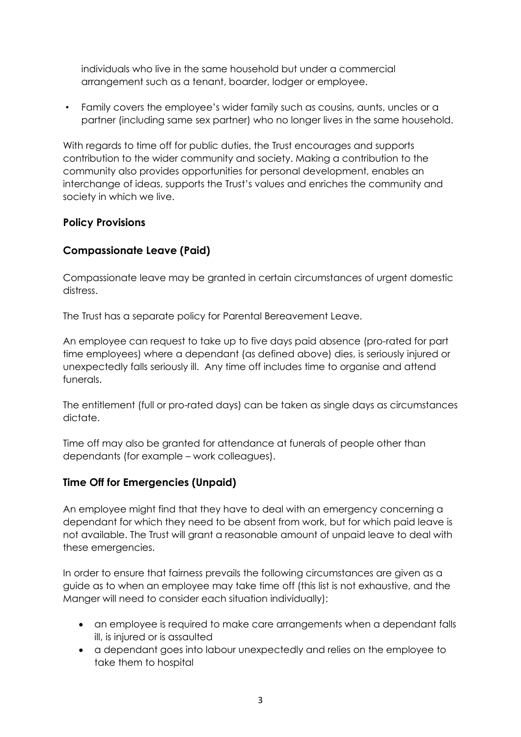individuals who live in the same household but under a commercial arrangement such as a tenant, boarder, lodger or employee.

• Family covers the employee's wider family such as cousins, aunts, uncles or a partner (including same sex partner) who no longer lives in the same household.

With regards to time off for public duties, the Trust encourages and supports contribution to the wider community and society. Making a contribution to the community also provides opportunities for personal development, enables an interchange of ideas, supports the Trust's values and enriches the community and society in which we live.

# **Policy Provisions**

# **Compassionate Leave (Paid)**

Compassionate leave may be granted in certain circumstances of urgent domestic distress.

The Trust has a separate policy for Parental Bereavement Leave.

An employee can request to take up to five days paid absence (pro-rated for part time employees) where a dependant (as defined above) dies, is seriously injured or unexpectedly falls seriously ill. Any time off includes time to organise and attend funerals.

The entitlement (full or pro-rated days) can be taken as single days as circumstances dictate.

Time off may also be granted for attendance at funerals of people other than dependants (for example – work colleagues).

# **Time Off for Emergencies (Unpaid)**

An employee might find that they have to deal with an emergency concerning a dependant for which they need to be absent from work, but for which paid leave is not available. The Trust will grant a reasonable amount of unpaid leave to deal with these emergencies.

In order to ensure that fairness prevails the following circumstances are given as a guide as to when an employee may take time off (this list is not exhaustive, and the Manger will need to consider each situation individually):

- an employee is required to make care arrangements when a dependant falls ill, is injured or is assaulted
- a dependant goes into labour unexpectedly and relies on the employee to take them to hospital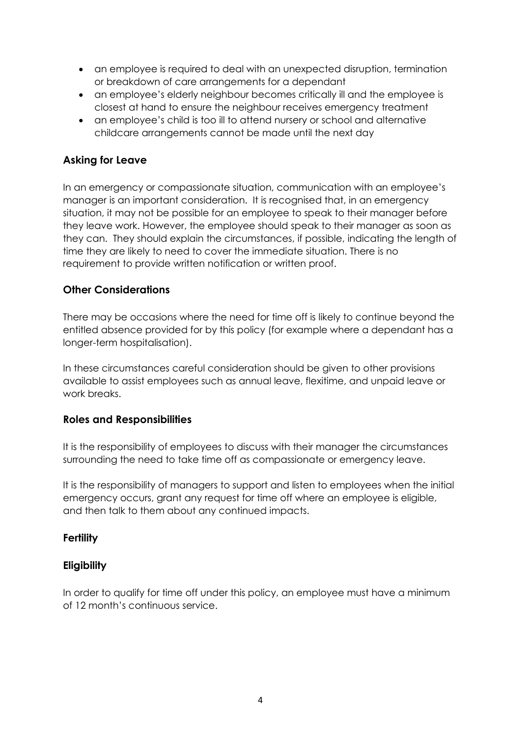- an employee is required to deal with an unexpected disruption, termination or breakdown of care arrangements for a dependant
- an employee's elderly neighbour becomes critically ill and the employee is closest at hand to ensure the neighbour receives emergency treatment
- an employee's child is too ill to attend nursery or school and alternative childcare arrangements cannot be made until the next day

# **Asking for Leave**

In an emergency or compassionate situation, communication with an employee's manager is an important consideration. It is recognised that, in an emergency situation, it may not be possible for an employee to speak to their manager before they leave work. However, the employee should speak to their manager as soon as they can. They should explain the circumstances, if possible, indicating the length of time they are likely to need to cover the immediate situation. There is no requirement to provide written notification or written proof.

# **Other Considerations**

There may be occasions where the need for time off is likely to continue beyond the entitled absence provided for by this policy (for example where a dependant has a longer-term hospitalisation).

In these circumstances careful consideration should be given to other provisions available to assist employees such as annual leave, flexitime, and unpaid leave or work breaks.

# **Roles and Responsibilities**

It is the responsibility of employees to discuss with their manager the circumstances surrounding the need to take time off as compassionate or emergency leave.

It is the responsibility of managers to support and listen to employees when the initial emergency occurs, grant any request for time off where an employee is eligible, and then talk to them about any continued impacts.

# **Fertility**

# **Eligibility**

In order to qualify for time off under this policy, an employee must have a minimum of 12 month's continuous service.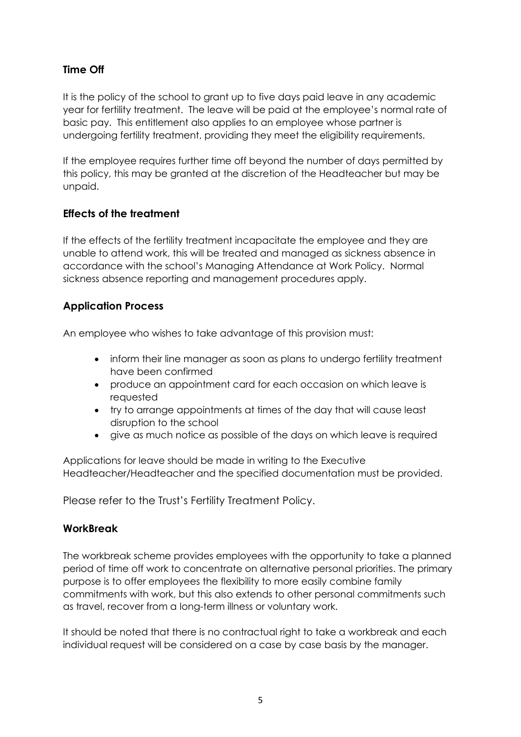# **Time Off**

It is the policy of the school to grant up to five days paid leave in any academic year for fertility treatment. The leave will be paid at the employee's normal rate of basic pay. This entitlement also applies to an employee whose partner is undergoing fertility treatment, providing they meet the eligibility requirements.

If the employee requires further time off beyond the number of days permitted by this policy, this may be granted at the discretion of the Headteacher but may be unpaid.

# **Effects of the treatment**

If the effects of the fertility treatment incapacitate the employee and they are unable to attend work, this will be treated and managed as sickness absence in accordance with the school's Managing Attendance at Work Policy. Normal sickness absence reporting and management procedures apply.

# **Application Process**

An employee who wishes to take advantage of this provision must:

- inform their line manager as soon as plans to undergo fertility treatment have been confirmed
- produce an appointment card for each occasion on which leave is requested
- try to arrange appointments at times of the day that will cause least disruption to the school
- give as much notice as possible of the days on which leave is required

Applications for leave should be made in writing to the Executive Headteacher/Headteacher and the specified documentation must be provided.

Please refer to the Trust's Fertility Treatment Policy.

# **WorkBreak**

The workbreak scheme provides employees with the opportunity to take a planned period of time off work to concentrate on alternative personal priorities. The primary purpose is to offer employees the flexibility to more easily combine family commitments with work, but this also extends to other personal commitments such as travel, recover from a long-term illness or voluntary work.

It should be noted that there is no contractual right to take a workbreak and each individual request will be considered on a case by case basis by the manager.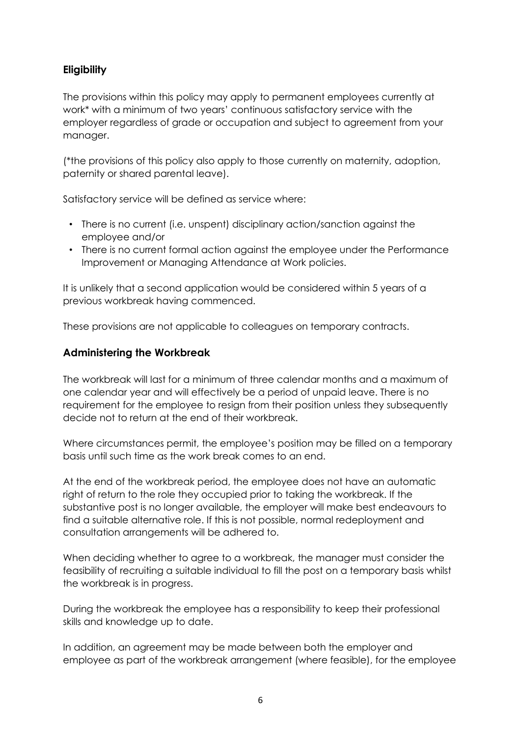# **Eligibility**

The provisions within this policy may apply to permanent employees currently at work\* with a minimum of two years' continuous satisfactory service with the employer regardless of grade or occupation and subject to agreement from your manager.

(\*the provisions of this policy also apply to those currently on maternity, adoption, paternity or shared parental leave).

Satisfactory service will be defined as service where:

- There is no current (i.e. unspent) disciplinary action/sanction against the employee and/or
- There is no current formal action against the employee under the Performance Improvement or Managing Attendance at Work policies.

It is unlikely that a second application would be considered within 5 years of a previous workbreak having commenced.

These provisions are not applicable to colleagues on temporary contracts.

# **Administering the Workbreak**

The workbreak will last for a minimum of three calendar months and a maximum of one calendar year and will effectively be a period of unpaid leave. There is no requirement for the employee to resign from their position unless they subsequently decide not to return at the end of their workbreak.

Where circumstances permit, the employee's position may be filled on a temporary basis until such time as the work break comes to an end.

At the end of the workbreak period, the employee does not have an automatic right of return to the role they occupied prior to taking the workbreak. If the substantive post is no longer available, the employer will make best endeavours to find a suitable alternative role. If this is not possible, normal redeployment and consultation arrangements will be adhered to.

When deciding whether to agree to a workbreak, the manager must consider the feasibility of recruiting a suitable individual to fill the post on a temporary basis whilst the workbreak is in progress.

During the workbreak the employee has a responsibility to keep their professional skills and knowledge up to date.

In addition, an agreement may be made between both the employer and employee as part of the workbreak arrangement (where feasible), for the employee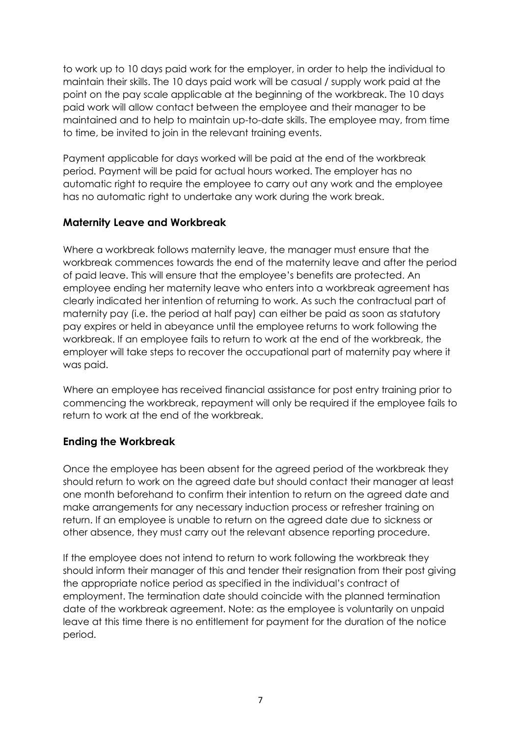to work up to 10 days paid work for the employer, in order to help the individual to maintain their skills. The 10 days paid work will be casual / supply work paid at the point on the pay scale applicable at the beginning of the workbreak. The 10 days paid work will allow contact between the employee and their manager to be maintained and to help to maintain up-to-date skills. The employee may, from time to time, be invited to join in the relevant training events.

Payment applicable for days worked will be paid at the end of the workbreak period. Payment will be paid for actual hours worked. The employer has no automatic right to require the employee to carry out any work and the employee has no automatic right to undertake any work during the work break.

## **Maternity Leave and Workbreak**

Where a workbreak follows maternity leave, the manager must ensure that the workbreak commences towards the end of the maternity leave and after the period of paid leave. This will ensure that the employee's benefits are protected. An employee ending her maternity leave who enters into a workbreak agreement has clearly indicated her intention of returning to work. As such the contractual part of maternity pay (i.e. the period at half pay) can either be paid as soon as statutory pay expires or held in abeyance until the employee returns to work following the workbreak. If an employee fails to return to work at the end of the workbreak, the employer will take steps to recover the occupational part of maternity pay where it was paid.

Where an employee has received financial assistance for post entry training prior to commencing the workbreak, repayment will only be required if the employee fails to return to work at the end of the workbreak.

# **Ending the Workbreak**

Once the employee has been absent for the agreed period of the workbreak they should return to work on the agreed date but should contact their manager at least one month beforehand to confirm their intention to return on the agreed date and make arrangements for any necessary induction process or refresher training on return. If an employee is unable to return on the agreed date due to sickness or other absence, they must carry out the relevant absence reporting procedure.

If the employee does not intend to return to work following the workbreak they should inform their manager of this and tender their resignation from their post giving the appropriate notice period as specified in the individual's contract of employment. The termination date should coincide with the planned termination date of the workbreak agreement. Note: as the employee is voluntarily on unpaid leave at this time there is no entitlement for payment for the duration of the notice period.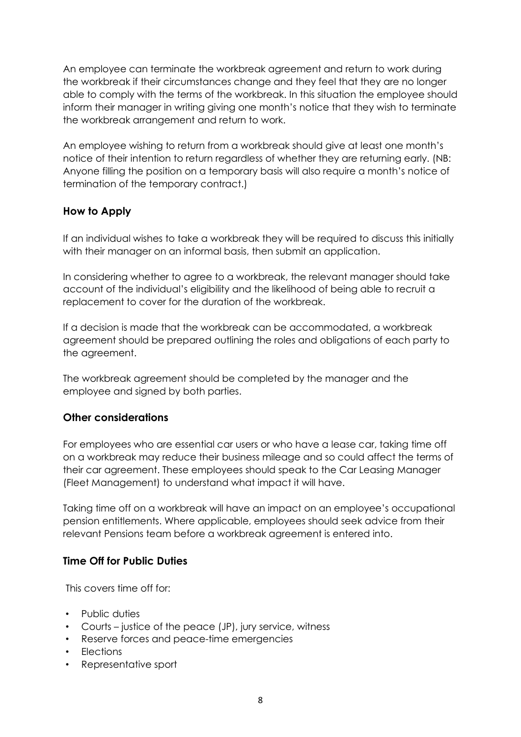An employee can terminate the workbreak agreement and return to work during the workbreak if their circumstances change and they feel that they are no longer able to comply with the terms of the workbreak. In this situation the employee should inform their manager in writing giving one month's notice that they wish to terminate the workbreak arrangement and return to work.

An employee wishing to return from a workbreak should give at least one month's notice of their intention to return regardless of whether they are returning early. (NB: Anyone filling the position on a temporary basis will also require a month's notice of termination of the temporary contract.)

# **How to Apply**

If an individual wishes to take a workbreak they will be required to discuss this initially with their manager on an informal basis, then submit an application.

In considering whether to agree to a workbreak, the relevant manager should take account of the individual's eligibility and the likelihood of being able to recruit a replacement to cover for the duration of the workbreak.

If a decision is made that the workbreak can be accommodated, a workbreak agreement should be prepared outlining the roles and obligations of each party to the agreement.

The workbreak agreement should be completed by the manager and the employee and signed by both parties.

# **Other considerations**

For employees who are essential car users or who have a lease car, taking time off on a workbreak may reduce their business mileage and so could affect the terms of their car agreement. These employees should speak to the Car Leasing Manager (Fleet Management) to understand what impact it will have.

Taking time off on a workbreak will have an impact on an employee's occupational pension entitlements. Where applicable, employees should seek advice from their relevant Pensions team before a workbreak agreement is entered into.

# **Time Off for Public Duties**

This covers time off for:

- Public duties
- Courts justice of the peace (JP), jury service, witness
- Reserve forces and peace-time emergencies
- Elections
- Representative sport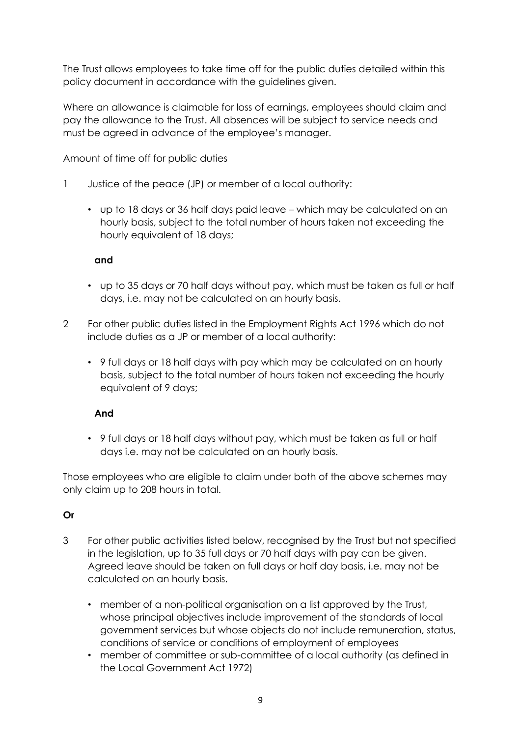The Trust allows employees to take time off for the public duties detailed within this policy document in accordance with the guidelines given.

Where an allowance is claimable for loss of earnings, employees should claim and pay the allowance to the Trust. All absences will be subject to service needs and must be agreed in advance of the employee's manager.

Amount of time off for public duties

- 1 Justice of the peace (JP) or member of a local authority:
	- up to 18 days or 36 half days paid leave which may be calculated on an hourly basis, subject to the total number of hours taken not exceeding the hourly equivalent of 18 days;

#### **and**

- up to 35 days or 70 half days without pay, which must be taken as full or half days, i.e. may not be calculated on an hourly basis.
- 2 For other public duties listed in the Employment Rights Act 1996 which do not include duties as a JP or member of a local authority:
	- 9 full days or 18 half days with pay which may be calculated on an hourly basis, subject to the total number of hours taken not exceeding the hourly equivalent of 9 days;

#### **And**

• 9 full days or 18 half days without pay, which must be taken as full or half days i.e. may not be calculated on an hourly basis.

Those employees who are eligible to claim under both of the above schemes may only claim up to 208 hours in total.

# **Or**

- 3 For other public activities listed below, recognised by the Trust but not specified in the legislation, up to 35 full days or 70 half days with pay can be given. Agreed leave should be taken on full days or half day basis, i.e. may not be calculated on an hourly basis.
	- member of a non-political organisation on a list approved by the Trust, whose principal objectives include improvement of the standards of local government services but whose objects do not include remuneration, status, conditions of service or conditions of employment of employees
	- member of committee or sub-committee of a local authority (as defined in the Local Government Act 1972)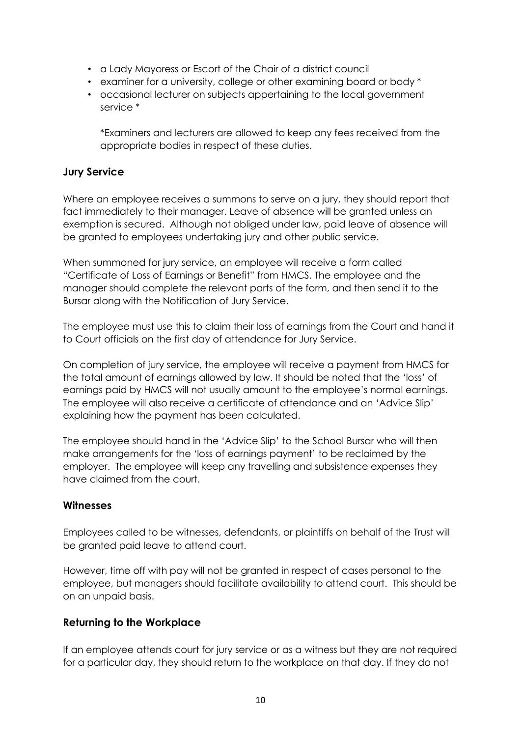- a Lady Mayoress or Escort of the Chair of a district council
- examiner for a university, college or other examining board or body \*
- occasional lecturer on subjects appertaining to the local government service \*

\*Examiners and lecturers are allowed to keep any fees received from the appropriate bodies in respect of these duties.

# **Jury Service**

Where an employee receives a summons to serve on a jury, they should report that fact immediately to their manager. Leave of absence will be granted unless an exemption is secured. Although not obliged under law, paid leave of absence will be granted to employees undertaking jury and other public service.

When summoned for jury service, an employee will receive a form called "Certificate of Loss of Earnings or Benefit" from HMCS. The employee and the manager should complete the relevant parts of the form, and then send it to the Bursar along with the Notification of Jury Service.

The employee must use this to claim their loss of earnings from the Court and hand it to Court officials on the first day of attendance for Jury Service.

On completion of jury service, the employee will receive a payment from HMCS for the total amount of earnings allowed by law. It should be noted that the 'loss' of earnings paid by HMCS will not usually amount to the employee's normal earnings. The employee will also receive a certificate of attendance and an 'Advice Slip' explaining how the payment has been calculated.

The employee should hand in the 'Advice Slip' to the School Bursar who will then make arrangements for the 'loss of earnings payment' to be reclaimed by the employer. The employee will keep any travelling and subsistence expenses they have claimed from the court.

# **Witnesses**

Employees called to be witnesses, defendants, or plaintiffs on behalf of the Trust will be granted paid leave to attend court.

However, time off with pay will not be granted in respect of cases personal to the employee, but managers should facilitate availability to attend court. This should be on an unpaid basis.

# **Returning to the Workplace**

If an employee attends court for jury service or as a witness but they are not required for a particular day, they should return to the workplace on that day. If they do not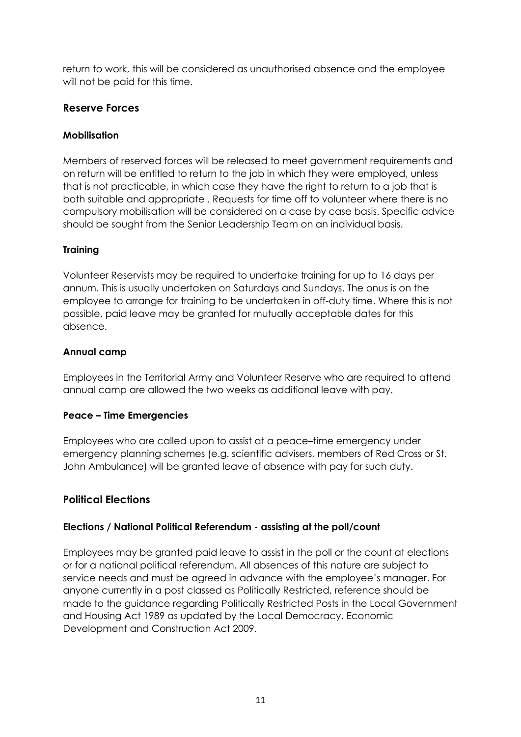return to work, this will be considered as unauthorised absence and the employee will not be paid for this time.

# **Reserve Forces**

# **Mobilisation**

Members of reserved forces will be released to meet government requirements and on return will be entitled to return to the job in which they were employed, unless that is not practicable, in which case they have the right to return to a job that is both suitable and appropriate . Requests for time off to volunteer where there is no compulsory mobilisation will be considered on a case by case basis. Specific advice should be sought from the Senior Leadership Team on an individual basis.

# **Training**

Volunteer Reservists may be required to undertake training for up to 16 days per annum. This is usually undertaken on Saturdays and Sundays. The onus is on the employee to arrange for training to be undertaken in off-duty time. Where this is not possible, paid leave may be granted for mutually acceptable dates for this absence.

# **Annual camp**

Employees in the Territorial Army and Volunteer Reserve who are required to attend annual camp are allowed the two weeks as additional leave with pay.

# **Peace – Time Emergencies**

Employees who are called upon to assist at a peace–time emergency under emergency planning schemes (e.g. scientific advisers, members of Red Cross or St. John Ambulance) will be granted leave of absence with pay for such duty.

# **Political Elections**

# **Elections / National Political Referendum - assisting at the poll/count**

Employees may be granted paid leave to assist in the poll or the count at elections or for a national political referendum. All absences of this nature are subject to service needs and must be agreed in advance with the employee's manager. For anyone currently in a post classed as Politically Restricted, reference should be made to the guidance regarding Politically Restricted Posts in the Local Government and Housing Act 1989 as updated by the Local Democracy, Economic Development and Construction Act 2009.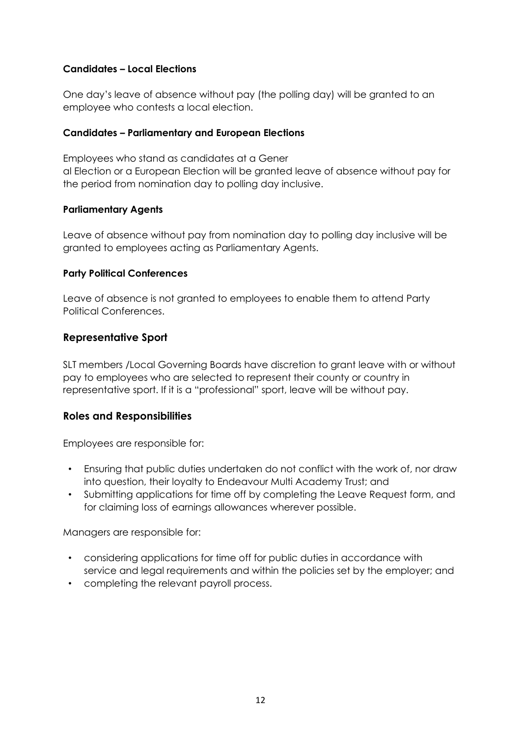## **Candidates – Local Elections**

One day's leave of absence without pay (the polling day) will be granted to an employee who contests a local election.

#### **Candidates – Parliamentary and European Elections**

Employees who stand as candidates at a Gener al Election or a European Election will be granted leave of absence without pay for the period from nomination day to polling day inclusive.

#### **Parliamentary Agents**

Leave of absence without pay from nomination day to polling day inclusive will be granted to employees acting as Parliamentary Agents.

## **Party Political Conferences**

Leave of absence is not granted to employees to enable them to attend Party Political Conferences.

# **Representative Sport**

SLT members /Local Governing Boards have discretion to grant leave with or without pay to employees who are selected to represent their county or country in representative sport. If it is a "professional" sport, leave will be without pay.

# **Roles and Responsibilities**

Employees are responsible for:

- Ensuring that public duties undertaken do not conflict with the work of, nor draw into question, their loyalty to Endeavour Multi Academy Trust; and
- Submitting applications for time off by completing the Leave Request form, and for claiming loss of earnings allowances wherever possible.

Managers are responsible for:

- considering applications for time off for public duties in accordance with service and legal requirements and within the policies set by the employer; and
- completing the relevant payroll process.